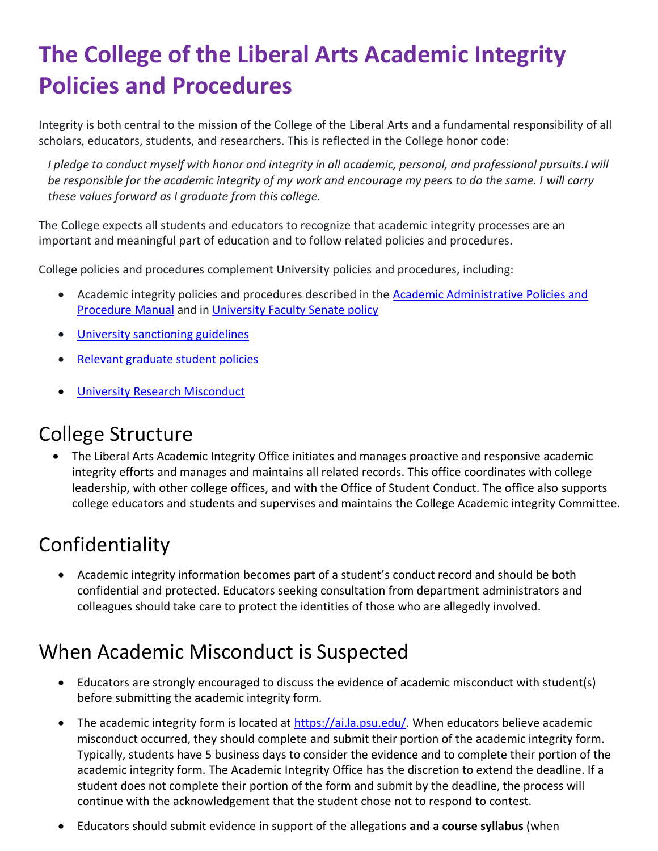# **The College of the Liberal Arts Academic Integrity Policies and Procedures**

Integrity is both central to the mission of the College of the Liberal Arts and a fundamental responsibility of all scholars, educators, students, and researchers. This is reflected in the College honor code:

*I pledge to conduct myself with honor and integrity in all academic, personal, and professional pursuits.I will be responsible for the academic integrity of my work and encourage my peers to do the same. I will carry these values forward as I graduate from this college.*

The College expects all students and educators to recognize that academic integrity processes are an important and meaningful part of education and to follow related policies and procedures.

College policies and procedures complement University policies and procedures, including:

- Academic integrity policies and procedures described in the [Academic Administrative Policies and](https://undergrad.psu.edu/aappm/G-9-academic-integrity.html) [Procedure](https://undergrad.psu.edu/aappm/G-9-academic-integrity.html) Manual and in University [Faculty Senate](https://senate.psu.edu/policies-and-rules-for-undergraduate-students/47-00-48-00-and-49-00-grades/#49-20) policy
- University [sanctioning](https://undergrad.psu.edu/aappm/sanctioning-guidelines.html) guidelines
- Relevant [graduate](https://gradschool.psu.edu/graduate-education-policies/gcac/gcac-800/) student policies
- [University Research Misconduct](https://www.research.psu.edu/researchmisconduct)

## College Structure

• The Liberal Arts Academic Integrity Office initiates and manages proactive and responsive academic integrity efforts and manages and maintains all related records. This office coordinates with college leadership, with other college offices, and with the Office of Student Conduct. The office also supports college educators and students and supervises and maintains the College Academic integrity Committee.

# **Confidentiality**

• Academic integrity information becomes part of a student's conduct record and should be both confidential and protected. Educators seeking consultation from department administrators and colleagues should take care to protect the identities of those who are allegedly involved.

# When Academic Misconduct is Suspected

- Educators are strongly encouraged to discuss the evidence of academic misconduct with student(s) before submitting the academic integrity form.
- The academic integrity form is located at [https://ai.la.psu.edu/.](https://ai.la.psu.edu/) When educators believe academic misconduct occurred, they should complete and submit their portion of the academic integrity form. Typically, students have 5 business days to consider the evidence and to complete their portion of the academic integrity form. The Academic Integrity Office has the discretion to extend the deadline. If a student does not complete their portion of the form and submit by the deadline, the process will continue with the acknowledgement that the student chose not to respond to contest.
- Educators should submit evidence in support of the allegations **and a course syllabus** (when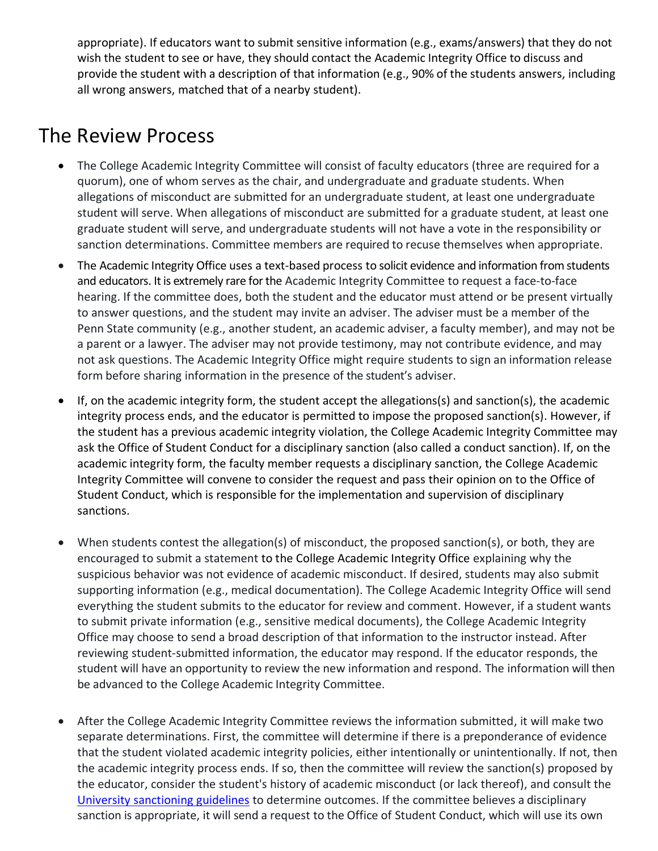appropriate). If educators want to submit sensitive information (e.g., exams/answers) that they do not wish the student to see or have, they should contact the Academic Integrity Office to discuss and provide the student with a description of that information (e.g., 90% of the students answers, including all wrong answers, matched that of a nearby student).

#### The Review Process

- The College Academic Integrity Committee will consist of faculty educators (three are required for a quorum), one of whom serves as the chair, and undergraduate and graduate students. When allegations of misconduct are submitted for an undergraduate student, at least one undergraduate student will serve. When allegations of misconduct are submitted for a graduate student, at least one graduate student will serve, and undergraduate students will not have a vote in the responsibility or sanction determinations. Committee members are required to recuse themselves when appropriate.
- The Academic Integrity Office uses a text-based process to solicit evidence and information from students and educators. It is extremely rare for the Academic Integrity Committee to request a face-to-face hearing. If the committee does, both the student and the educator must attend or be present virtually to answer questions, and the student may invite an adviser. The adviser must be a member of the Penn State community (e.g., another student, an academic adviser, a faculty member), and may not be a parent or a lawyer. The adviser may not provide testimony, may not contribute evidence, and may not ask questions. The Academic Integrity Office might require students to sign an information release form before sharing information in the presence of the student's adviser.
- If, on the academic integrity form, the student accept the allegations(s) and sanction(s), the academic integrity process ends, and the educator is permitted to impose the proposed sanction(s). However, if the student has a previous academic integrity violation, the College Academic Integrity Committee may ask the Office of Student Conduct for a disciplinary sanction (also called a conduct sanction). If, on the academic integrity form, the faculty member requests a disciplinary sanction, the College Academic Integrity Committee will convene to consider the request and pass their opinion on to the Office of Student Conduct, which is responsible for the implementation and supervision of disciplinary sanctions.
- When students contest the allegation(s) of misconduct, the proposed sanction(s), or both, they are encouraged to submit a statement to the College Academic Integrity Office explaining why the suspicious behavior was not evidence of academic misconduct. If desired, students may also submit supporting information (e.g., medical documentation). The College Academic Integrity Office will send everything the student submits to the educator for review and comment. However, if a student wants to submit private information (e.g., sensitive medical documents), the College Academic Integrity Office may choose to send a broad description of that information to the instructor instead. After reviewing student-submitted information, the educator may respond. If the educator responds, the student will have an opportunity to review the new information and respond. The information will then be advanced to the College Academic Integrity Committee.
- After the College Academic Integrity Committee reviews the information submitted, it will make two separate determinations. First, the committee will determine if there is a preponderance of evidence that the student violated academic integrity policies, either intentionally or unintentionally. If not, then the academic integrity process ends. If so, then the committee will review the sanction(s) proposed by the educator, consider the student's history of academic misconduct (or lack thereof), and consult the [University sanctioning guidelines](https://undergrad.psu.edu/aappm/sanctioning-guidelines.html) to determine outcomes. If the committee believes a disciplinary sanction is appropriate, it will send a request to the Office of Student Conduct, which will use its own